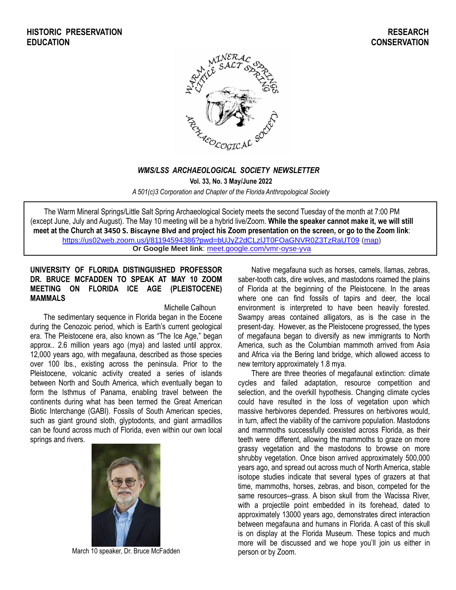

## *WMS/LSS ARCHAEOLOGICAL SOCIETY NEWSLETTER*

**Vol. 33, No. 3 May/June 2022**

*A 501(c)3 Corporation and Chapter of the Florida Anthropological Society*

The Warm Mineral Springs/Little Salt Spring Archaeological Society meets the second Tuesday of the month at 7:00 PM (except June, July and August). The May 10 meeting will be a hybrid live/Zoom. **While the speaker cannot make it, we will still meet at the Church at 3450 S. Biscayne Blvd and project his Zoom presentation on the screen, or go to the Zoom link**[:](https://us02web.zoom.us/j/81194594386?pwd=bUJyZ2dCLzlJT0FOaGNVR0Z3TzRaUT09) <https://us02web.zoom.us/j/81194594386?pwd=bUJyZ2dCLzlJT0FOaGNVR0Z3TzRaUT09> [\(map\)](https://www.google.com/url?q=https%3A%2F%2Fus02web.zoom.us%2Fj%2F81194594386%3Fpwd%3DbUJyZ2dCLzlJT0FOaGNVR0Z3TzRaUT09&sa=D&ust=1652187362132000&usg=AOvVaw2sW58IMMtLgKXeJerU1TCX) **Or Google Meet link**: [meet.google.com/vmr-oyse-yva](https://meet.google.com/vmr-oyse-yva?hs=224)

## **UNIVERSITY OF FLORIDA DISTINGUISHED PROFESSOR DR. BRUCE MCFADDEN TO SPEAK AT MAY 10 ZOOM MEETING ON FLORIDA ICE AGE (PLEISTOCENE) MAMMALS**

#### Michelle Calhoun

The sedimentary sequence in Florida began in the Eocene during the Cenozoic period, which is Earth's current geological era. The Pleistocene era, also known as "The Ice Age," began approx.. 2.6 million years ago (mya) and lasted until approx. 12,000 years ago, with megafauna, described as those species over 100 lbs., existing across the peninsula. Prior to the Pleistocene, volcanic activity created a series of islands between North and South America, which eventually began to form the Isthmus of Panama, enabling travel between the continents during what has been termed the Great American Biotic Interchange (GABI). Fossils of South American species, such as giant ground sloth, glyptodonts, and giant armadillos can be found across much of Florida, even within our own local springs and rivers.



March 10 speaker, Dr. Bruce McFadden

Native megafauna such as horses, camels, llamas, zebras, saber-tooth cats, dire wolves, and mastodons roamed the plains of Florida at the beginning of the Pleistocene. In the areas where one can find fossils of tapirs and deer, the local environment is interpreted to have been heavily forested. Swampy areas contained alligators, as is the case in the present-day. However, as the Pleistocene progressed, the types of megafauna began to diversify as new immigrants to North America, such as the Columbian mammoth arrived from Asia and Africa via the Bering land bridge, which allowed access to new territory approximately 1.8 mya.

There are three theories of megafaunal extinction: climate cycles and failed adaptation, resource competition and selection, and the overkill hypothesis. Changing climate cycles could have resulted in the loss of vegetation upon which massive herbivores depended. Pressures on herbivores would, in turn, affect the viability of the carnivore population. Mastodons and mammoths successfully coexisted across Florida, as their teeth were different, allowing the mammoths to graze on more grassy vegetation and the mastodons to browse on more shrubby vegetation. Once bison arrived approximately 500,000 years ago, and spread out across much of North America, stable isotope studies indicate that several types of grazers at that time, mammoths, horses, zebras, and bison, competed for the same resources--grass. A bison skull from the Wacissa River, with a projectile point embedded in its forehead, dated to approximately 13000 years ago, demonstrates direct interaction between megafauna and humans in Florida. A cast of this skull is on display at the Florida Museum. These topics and much more will be discussed and we hope you'll join us either in person or by Zoom.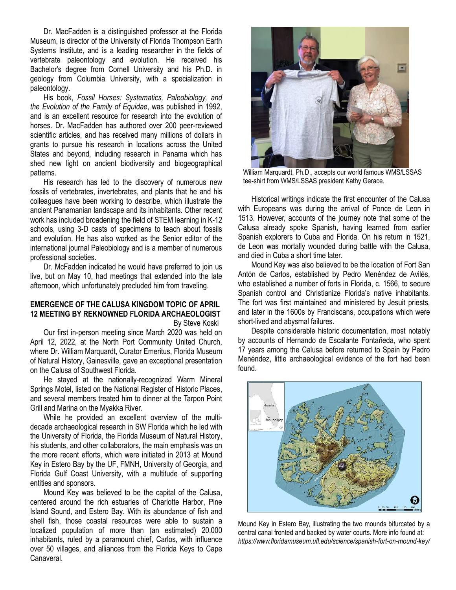Dr. MacFadden is a distinguished professor at the Florida Museum, is director of the University of Florida Thompson Earth Systems Institute, and is a leading researcher in the fields of vertebrate paleontology and evolution. He received his Bachelor's degree from Cornell University and his Ph.D. in geology from Columbia University, with a specialization in paleontology.

His book, *Fossil Horses: Systematics, Paleobiology, and the Evolution of the Family of Equidae*, was published in 1992, and is an excellent resource for research into the evolution of horses. Dr. MacFadden has authored over 200 peer-reviewed scientific articles, and has received many millions of dollars in grants to pursue his research in locations across the United States and beyond, including research in Panama which has shed new light on ancient biodiversity and biogeographical patterns.

His research has led to the discovery of numerous new fossils of vertebrates, invertebrates, and plants that he and his colleagues have been working to describe, which illustrate the ancient Panamanian landscape and its inhabitants. Other recent work has included broadening the field of STEM learning in K-12 schools, using 3-D casts of specimens to teach about fossils and evolution. He has also worked as the Senior editor of the international journal Paleobiology and is a member of numerous professional societies.

Dr. McFadden indicated he would have preferred to join us live, but on May 10, had meetings that extended into the late afternoon, which unfortunately precluded him from traveling.

# **EMERGENCE OF THE CALUSA KINGDOM TOPIC OF APRIL 12 MEETING BY REKNOWNED FLORIDA ARCHAEOLOGIST**

By Steve Koski

Our first in-person meeting since March 2020 was held on April 12, 2022, at the North Port Community United Church, where Dr. William Marquardt, Curator Emeritus, Florida Museum of Natural History, Gainesville, gave an exceptional presentation on the Calusa of Southwest Florida.

He stayed at the nationally-recognized Warm Mineral Springs Motel, listed on the National Register of Historic Places, and several members treated him to dinner at the Tarpon Point Grill and Marina on the Myakka River.

While he provided an excellent overview of the multidecade archaeological research in SW Florida which he led with the University of Florida, the Florida Museum of Natural History, his students, and other collaborators, the main emphasis was on the more recent efforts, which were initiated in 2013 at Mound Key in Estero Bay by the UF, FMNH, University of Georgia, and Florida Gulf Coast University, with a multitude of supporting entities and sponsors.

Mound Key was believed to be the capital of the Calusa, centered around the rich estuaries of Charlotte Harbor, Pine Island Sound, and Estero Bay. With its abundance of fish and shell fish, those coastal resources were able to sustain a localized population of more than (an estimated) 20,000 inhabitants, ruled by a paramount chief, Carlos, with influence over 50 villages, and alliances from the Florida Keys to Cape Canaveral.



 William Marquardt, Ph.D., accepts our world famous WMS/LSSAS tee-shirt from WMS/LSSAS president Kathy Gerace.

Historical writings indicate the first encounter of the Calusa with Europeans was during the arrival of Ponce de Leon in 1513. However, accounts of the journey note that some of the Calusa already spoke Spanish, having learned from earlier Spanish explorers to Cuba and Florida. On his return in 1521, de Leon was mortally wounded during battle with the Calusa, and died in Cuba a short time later.

Mound Key was also believed to be the location of Fort San Antón de Carlos, established by Pedro Menéndez de Avilés, who established a number of forts in Florida, c. 1566, to secure Spanish control and Christianize Florida's native inhabitants. The fort was first maintained and ministered by Jesuit priests, and later in the 1600s by Franciscans, occupations which were short-lived and abysmal failures.

Despite considerable historic documentation, most notably by accounts of Hernando de Escalante Fontañeda, who spent 17 years among the Calusa before returned to Spain by Pedro Menéndez, little archaeological evidence of the fort had been found.



Mound Key in Estero Bay, illustrating the two mounds bifurcated by a central canal fronted and backed by water courts. More info found at: *https://www.floridamuseum.ufl.edu/science/spanish-fort-on-mound-key/*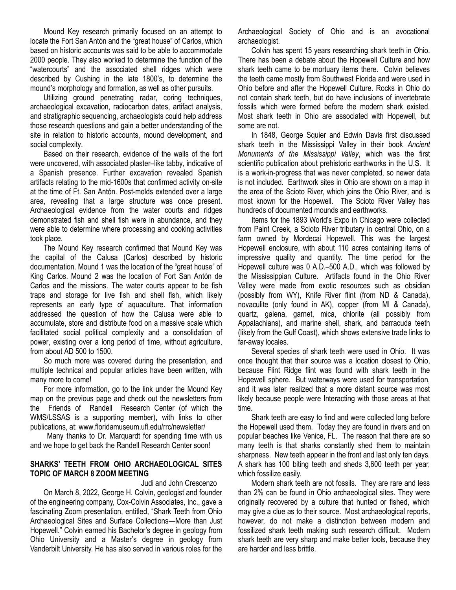Mound Key research primarily focused on an attempt to locate the Fort San Antón and the "great house" of Carlos, which based on historic accounts was said to be able to accommodate 2000 people. They also worked to determine the function of the "watercourts" and the associated shell ridges which were described by Cushing in the late 1800's, to determine the mound's morphology and formation, as well as other pursuits.

Utilizing ground penetrating radar, coring techniques, archaeological excavation, radiocarbon dates, artifact analysis, and stratigraphic sequencing, archaeologists could help address those research questions and gain a better understanding of the site in relation to historic accounts, mound development, and social complexity.

Based on their research, evidence of the walls of the fort were uncovered, with associated plaster–like tabby, indicative of a Spanish presence. Further excavation revealed Spanish artifacts relating to the mid-1600s that confirmed activity on-site at the time of Ft. San Antón. Post-molds extended over a large area, revealing that a large structure was once present. Archaeological evidence from the water courts and ridges demonstrated fish and shell fish were in abundance, and they were able to determine where processing and cooking activities took place.

The Mound Key research confirmed that Mound Key was the capital of the Calusa (Carlos) described by historic documentation. Mound 1 was the location of the "great house" of King Carlos. Mound 2 was the location of Fort San Antón de Carlos and the missions. The water courts appear to be fish traps and storage for live fish and shell fish, which likely represents an early type of aquaculture. That information addressed the question of how the Calusa were able to accumulate, store and distribute food on a massive scale which facilitated social political complexity and a consolidation of power, existing over a long period of time, without agriculture, from about AD 500 to 1500.

So much more was covered during the presentation, and multiple technical and popular articles have been written, with many more to come!

For more information, go to the link under the Mound Key map on the previous page and check out the newsletters from the Friends of Randell Research Center (of which the WMS/LSSAS is a supporting member), with links to other publications, at: www.floridamuseum.ufl.edu/rrc/newsletter/

Many thanks to Dr. Marquardt for spending time with us and we hope to get back the Randell Research Center soon!

## **SHARKS' TEETH FROM OHIO ARCHAEOLOGICAL SITES TOPIC OF MARCH 8 ZOOM MEETING**

## Judi and John Crescenzo

On March 8, 2022, George H. Colvin, geologist and founder of the engineering company, Cox-Colvin Associates, Inc., gave a fascinating Zoom presentation, entitled, "Shark Teeth from Ohio Archaeological Sites and Surface Collections—More than Just Hopewell." Colvin earned his Bachelor's degree in geology from Ohio University and a Master's degree in geology from Vanderbilt University. He has also served in various roles for the Archaeological Society of Ohio and is an avocational archaeologist.

Colvin has spent 15 years researching shark teeth in Ohio. There has been a debate about the Hopewell Culture and how shark teeth came to be mortuary items there. Colvin believes the teeth came mostly from Southwest Florida and were used in Ohio before and after the Hopewell Culture. Rocks in Ohio do not contain shark teeth, but do have inclusions of invertebrate fossils which were formed before the modern shark existed. Most shark teeth in Ohio are associated with Hopewell, but some are not.

In 1848, George Squier and Edwin Davis first discussed shark teeth in the Mississippi Valley in their book *Ancient Monuments of the Mississippi Valley*, which was the first scientific publication about prehistoric earthworks in the U.S. It is a work-in-progress that was never completed, so newer data is not included. Earthwork sites in Ohio are shown on a map in the area of the Scioto River, which joins the Ohio River, and is most known for the Hopewell. The Scioto River Valley has hundreds of documented mounds and earthworks.

Items for the 1893 World's Expo in Chicago were collected from Paint Creek, a Scioto River tributary in central Ohio, on a farm owned by Mordecai Hopewell. This was the largest Hopewell enclosure, with about 110 acres containing items of impressive quality and quantity. The time period for the Hopewell culture was 0 A.D.–500 A.D., which was followed by the Mississippian Culture. Artifacts found in the Ohio River Valley were made from exotic resources such as obsidian (possibly from WY), Knife River flint (from ND & Canada), novaculite (only found in AK), copper (from MI & Canada), quartz, galena, garnet, mica, chlorite (all possibly from Appalachians), and marine shell, shark, and barracuda teeth (likely from the Gulf Coast), which shows extensive trade links to far-away locales.

Several species of shark teeth were used in Ohio. It was once thought that their source was a location closest to Ohio, because Flint Ridge flint was found with shark teeth in the Hopewell sphere. But waterways were used for transportation, and it was later realized that a more distant source was most likely because people were Interacting with those areas at that time.

Shark teeth are easy to find and were collected long before the Hopewell used them. Today they are found in rivers and on popular beaches like Venice, FL. The reason that there are so many teeth is that sharks constantly shed them to maintain sharpness. New teeth appear in the front and last only ten days. A shark has 100 biting teeth and sheds 3,600 teeth per year, which fossilize easily.

Modern shark teeth are not fossils. They are rare and less than 2% can be found in Ohio archaeological sites. They were originally recovered by a culture that hunted or fished, which may give a clue as to their source. Most archaeological reports, however, do not make a distinction between modern and fossilized shark teeth making such research difficult. Modern shark teeth are very sharp and make better tools, because they are harder and less brittle.